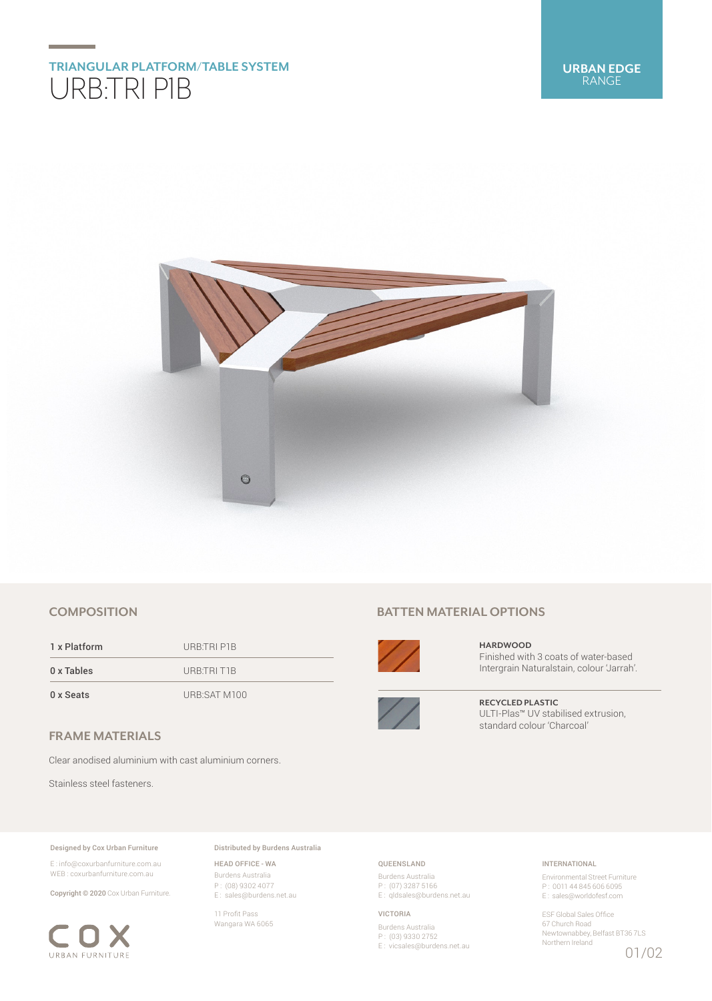

## **COMPOSITION**

1 x Platform URB:TRI P1B 0 x Tables URB:TRI T1B 0 x Seats URB:SAT M100

## **FRAME MATERIALS**

Clear anodised aluminium with cast aluminium corners.

Stainless steel fasteners.

#### Designed by Cox Urban Furniture

E : info@coxurbanfurniture.com.au WEB : coxurbanfurniture.com.au

Copyright © 2020 Cox Urban Furniture.



Distributed by Burdens Australia

HEAD OFFICE - WA Burdens Australia P : (08) 9302 4077 E : sales@burdens.net.au

11 Profit Pass Wangara WA 6065

# **BATTEN MATERIAL OPTIONS**



**HARDWOOD** Finished with 3 coats of water-based Intergrain Naturalstain, colour 'Jarrah'.



**RECYCLED PLASTIC** ULTI-Plas™ UV stabilised extrusion, standard colour 'Charcoal'

## QUEENSLAND

Burdens Australia P : (07) 3287 5166 E: qldsales@burdens.net.au

#### VICTORIA

Burdens Australia P : (03) 9330 2752 E : vicsales@burdens.net.au

## INTERNATIONAL

Environmental Street Furniture P : 0011 44 845 606 6095 E : sales@worldofesf.com

ESF Global Sales Office 67 Church Road Newtownabbey, Belfast BT36 7LS Northern Ireland

01/02